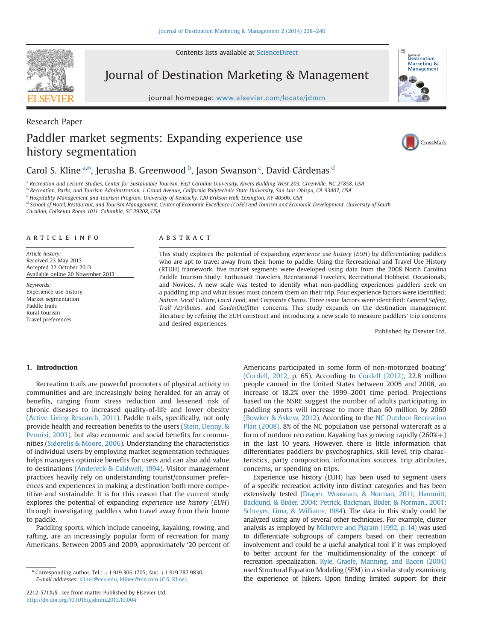Contents lists available at [ScienceDirect](www.sciencedirect.com/science/journal/2212571X)



Research Paper

Journal of Destination Marketing & Management

journal homepage: <www.elsevier.com/locate/jdmm>



# Paddler market segments: Expanding experience use history segmentation



# Carol S. Kline <sup>a,\*</sup>, Jerusha B. Greenwood <sup>b</sup>, Jason Swanson <sup>c</sup>, David Cárdenas <sup>d</sup>

a Recreation and Leisure Studies, Center for Sustainable Tourism, East Carolina University, Rivers Building West 203, Greenville, NC 27858, USA

<sup>b</sup> Recreation, Parks, and Tourism Administration, 1 Grand Avenue, California Polytechnic State University, San Luis Obispo, CA 93407, USA

<sup>c</sup> Hospitality Management and Tourism Program, University of Kentucky, 120 Erikson Hall, Lexington, KY 40506, USA

<sup>d</sup> School of Hotel, Restaurant, and Tourism Management, Center of Economic Excellence (CoEE) and Tourism and Economic Development, University of South

Carolina, Coliseum Room 1011, Columbia, SC 29208, USA

### article info

Article history: Received 23 May 2013 Accepted 22 October 2013 Available online 20 November 2013

Keywords: Experience use history Market segmentation Paddle trails Rural tourism Travel preferences

# ABSTRACT

This study explores the potential of expanding experience use history (EUH) by differentiating paddlers who are apt to travel away from their home to paddle. Using the Recreational and Travel Use History (RTUH) framework, five market segments were developed using data from the 2008 North Carolina Paddle Tourism Study: Enthusiast Travelers, Recreational Travelers, Recreational Hobbyist, Occasionals, and Novices. A new scale was tested to identify what non-paddling experiences paddlers seek on a paddling trip and what issues most concern them on their trip. Four experience factors were identified: Nature, Local Culture, Local Food, and Corporate Chains. Three issue factors were identified: General Safety, Trail Attributes, and Guide/Outfitter concerns. This study expands on the destination management literature by refining the EUH construct and introducing a new scale to measure paddlers' trip concerns and desired experiences.

Published by Elsevier Ltd.

# 1. Introduction

Recreation trails are powerful promoters of physical activity in communities and are increasingly being heralded for an array of benefits, ranging from stress reduction and lessened risk of chronic diseases to increased quality-of-life and lower obesity ([Active Living Research, 2011\)](#page--1-0). Paddle trails, specifically, not only provide health and recreation benefits to the users [\(Stein, Denny,](#page--1-0) & [Pennisi, 2003](#page--1-0)), but also economic and social benefits for communities ([Siderelis](#page--1-0) & [Moore, 2006](#page--1-0)). Understanding the characteristics of individual users by employing market segmentation techniques helps managers optimize benefits for users and can also add value to destinations ([Andereck](#page--1-0) & [Caldwell, 1994](#page--1-0)). Visitor management practices heavily rely on understanding tourist/consumer preferences and experiences in making a destination both more competitive and sustainable. It is for this reason that the current study explores the potential of expanding experience use history (EUH) through investigating paddlers who travel away from their home to paddle.

Paddling sports, which include canoeing, kayaking, rowing, and rafting, are an increasingly popular form of recreation for many Americans. Between 2005 and 2009, approximately '20 percent of Americans participated in some form of non-motorized boating' ([Cordell, 2012,](#page--1-0) p. 65). According to [Cordell \(2012\),](#page--1-0) 22.8 million people canoed in the United States between 2005 and 2008, an increase of 18.2% over the 1999–2001 time period. Projections based on the NSRE suggest the number of adults participating in paddling sports will increase to more than 60 million by 2060 ([Bowker](#page--1-0) & [Askew, 2012](#page--1-0)). According to the [NC Outdoor Recreation](#page--1-0) [Plan \(2008\),](#page--1-0) 8% of the NC population use personal watercraft as a form of outdoor recreation. Kayaking has growing rapidly  $(260\%+)$ in the last 10 years. However, there is little information that differentiates paddlers by psychographics, skill level, trip characteristics, party composition, information sources, trip attributes, concerns, or spending on trips.

Experience use history (EUH) has been used to segment users of a specific recreation activity into distinct categories and has been extensively tested [\(Draper, Woosnam, & Norman, 2011](#page--1-0); [Hammitt,](#page--1-0) [Backlund,](#page--1-0) & [Bixler, 2004;](#page--1-0) [Petrick, Backman, Bixler, & Norman., 2001;](#page--1-0) [Schreyer, Lima, & Williams, 1984](#page--1-0)). The data in this study could be analyzed using any of several other techniques. For example, cluster analysis as employed by [McIntyre and Pigram \(1992, p. 14\)](#page--1-0) was used to differentiate subgroups of campers based on their recreation involvement and could be a useful analytical tool if it was employed to better account for the 'multidimensionality of the concept' of recreation specialization. [Kyle, Graefe, Manning, and Bacon \(2004\)](#page--1-0) used Structural Equation Modeling (SEM) in a similar study examining the experience of hikers. Upon finding limited support for their

 $*$  Corresponding author. Tel.:  $+1$  919 306 1705; fax:  $+1$  919 787 9830. E-mail addresses: [klinec@ecu.edu,](mailto:klinec@ecu.edu) [klinec@me.com \(C.S. Kline\)](mailto:klinec@me.com).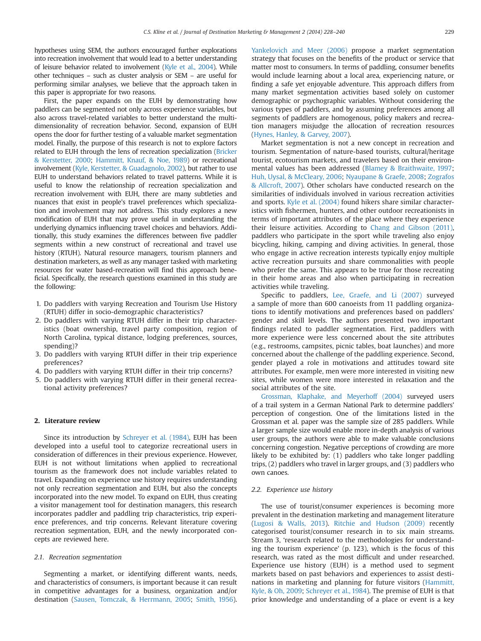hypotheses using SEM, the authors encouraged further explorations into recreation involvement that would lead to a better understanding of leisure behavior related to involvement [\(Kyle et al., 2004\)](#page--1-0). While other techniques – such as cluster analysis or SEM – are useful for performing similar analyses, we believe that the approach taken in this paper is appropriate for two reasons.

First, the paper expands on the EUH by demonstrating how paddlers can be segmented not only across experience variables, but also across travel-related variables to better understand the multidimensionality of recreation behavior. Second, expansion of EUH opens the door for further testing of a valuable market segmentation model. Finally, the purpose of this research is not to explore factors related to EUH through the lens of recreation specialization [\(Bricker](#page--1-0) [& Kerstetter, 2000](#page--1-0); [Hammitt, Knauf, & Noe, 1989\)](#page--1-0) or recreational involvement [\(Kyle, Kerstetter, & Guadagnolo, 2002\)](#page--1-0), but rather to use EUH to understand behaviors related to travel patterns. While it is useful to know the relationship of recreation specialization and recreation involvement with EUH, there are many subtleties and nuances that exist in people's travel preferences which specialization and involvement may not address. This study explores a new modification of EUH that may prove useful in understanding the underlying dynamics influencing travel choices and behaviors. Additionally, this study examines the differences between five paddler segments within a new construct of recreational and travel use history (RTUH). Natural resource managers, tourism planners and destination marketers, as well as any manager tasked with marketing resources for water based-recreation will find this approach beneficial. Specifically, the research questions examined in this study are the following:

- 1. Do paddlers with varying Recreation and Tourism Use History (RTUH) differ in socio-demographic characteristics?
- 2. Do paddlers with varying RTUH differ in their trip characteristics (boat ownership, travel party composition, region of North Carolina, typical distance, lodging preferences, sources, spending)?
- 3. Do paddlers with varying RTUH differ in their trip experience preferences?
- 4. Do paddlers with varying RTUH differ in their trip concerns?
- 5. Do paddlers with varying RTUH differ in their general recreational activity preferences?

# 2. Literature review

Since its introduction by [Schreyer et al. \(1984\)](#page--1-0), EUH has been developed into a useful tool to categorize recreational users in consideration of differences in their previous experience. However, EUH is not without limitations when applied to recreational tourism as the framework does not include variables related to travel. Expanding on experience use history requires understanding not only recreation segmentation and EUH, but also the concepts incorporated into the new model. To expand on EUH, thus creating a visitor management tool for destination managers, this research incorporates paddler and paddling trip characteristics, trip experience preferences, and trip concerns. Relevant literature covering recreation segmentation, EUH, and the newly incorporated concepts are reviewed here.

#### 2.1. Recreation segmentation

Segmenting a market, or identifying different wants, needs, and characteristics of consumers, is important because it can result in competitive advantages for a business, organization and/or destination ([Sausen, Tomczak, & Herrmann, 2005;](#page--1-0) [Smith, 1956\)](#page--1-0). [Yankelovich and Meer \(2006\)](#page--1-0) propose a market segmentation strategy that focuses on the benefits of the product or service that matter most to consumers. In terms of paddling, consumer benefits would include learning about a local area, experiencing nature, or finding a safe yet enjoyable adventure. This approach differs from many market segmentation activities based solely on customer demographic or psychographic variables. Without considering the various types of paddlers, and by assuming preferences among all segments of paddlers are homogenous, policy makers and recreation managers misjudge the allocation of recreation resources [\(Hynes, Hanley, & Garvey, 2007](#page--1-0)).

Market segmentation is not a new concept in recreation and tourism. Segmentation of nature-based tourists, cultural/heritage tourist, ecotourism markets, and travelers based on their environmental values has been addressed [\(Blamey & Braithwaite, 1997;](#page--1-0) [Huh, Uysal, & McCleary, 2006](#page--1-0); [Nyaupane & Graefe, 2008](#page--1-0); [Zografos](#page--1-0) [& Allcroft, 2007](#page--1-0)). Other scholars have conducted research on the similarities of individuals involved in various recreation activities and sports. [Kyle et al. \(2004\)](#page--1-0) found hikers share similar characteristics with fishermen, hunters, and other outdoor recreationists in terms of important attributes of the place where they experience their leisure activities. According to [Chang and Gibson \(2011\),](#page--1-0) paddlers who participate in the sport while traveling also enjoy bicycling, hiking, camping and diving activities. In general, those who engage in active recreation interests typically enjoy multiple active recreation pursuits and share commonalities with people who prefer the same. This appears to be true for those recreating in their home areas and also when participating in recreation activities while traveling.

Specific to paddlers, [Lee, Graefe, and Li \(2007\)](#page--1-0) surveyed a sample of more than 600 canoeists from 11 paddling organizations to identify motivations and preferences based on paddlers' gender and skill levels. The authors presented two important findings related to paddler segmentation. First, paddlers with more experience were less concerned about the site attributes (e.g., restrooms, campsites, picnic tables, boat launches) and more concerned about the challenge of the paddling experience. Second, gender played a role in motivations and attitudes toward site attributes. For example, men were more interested in visiting new sites, while women were more interested in relaxation and the social attributes of the site.

[Grossman, Klaphake, and Meyerhoff \(2004\)](#page--1-0) surveyed users of a trail system in a German National Park to determine paddlers' perception of congestion. One of the limitations listed in the Grossman et al. paper was the sample size of 285 paddlers. While a larger sample size would enable more in-depth analysis of various user groups, the authors were able to make valuable conclusions concerning congestion. Negative perceptions of crowding are more likely to be exhibited by: (1) paddlers who take longer paddling trips, (2) paddlers who travel in larger groups, and (3) paddlers who own canoes.

### 2.2. Experience use history

The use of tourist/consumer experiences is becoming more prevalent in the destination marketing and management literature ([Lugosi](#page--1-0) [& Walls, 2013\)](#page--1-0). [Ritchie and Hudson \(2009\)](#page--1-0) recently categorised tourist/consumer research in to six main streams. Stream 3, 'research related to the methodologies for understanding the tourism experience' (p. 123), which is the focus of this research, was rated as the most difficult and under researched. Experience use history (EUH) is a method used to segment markets based on past behaviors and experiences to assist destinations in marketing and planning for future visitors ([Hammitt,](#page--1-0) [Kyle, & Oh, 2009;](#page--1-0) [Schreyer et al., 1984](#page--1-0)). The premise of EUH is that prior knowledge and understanding of a place or event is a key